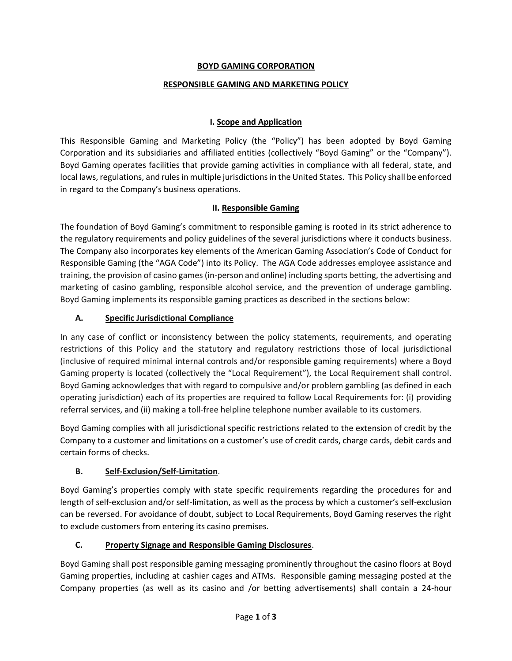### **BOYD GAMING CORPORATION**

#### **RESPONSIBLE GAMING AND MARKETING POLICY**

#### **I. Scope and Application**

This Responsible Gaming and Marketing Policy (the "Policy") has been adopted by Boyd Gaming Corporation and its subsidiaries and affiliated entities (collectively "Boyd Gaming" or the "Company"). Boyd Gaming operates facilities that provide gaming activities in compliance with all federal, state, and local laws, regulations, and rules in multiple jurisdictions in the United States. This Policy shall be enforced in regard to the Company's business operations.

#### **II. Responsible Gaming**

The foundation of Boyd Gaming's commitment to responsible gaming is rooted in its strict adherence to the regulatory requirements and policy guidelines of the several jurisdictions where it conducts business. The Company also incorporates key elements of the American Gaming Association's Code of Conduct for Responsible Gaming (the "AGA Code") into its Policy. The AGA Code addresses employee assistance and training, the provision of casino games(in-person and online) including sports betting, the advertising and marketing of casino gambling, responsible alcohol service, and the prevention of underage gambling. Boyd Gaming implements its responsible gaming practices as described in the sections below:

#### **A. Specific Jurisdictional Compliance**

In any case of conflict or inconsistency between the policy statements, requirements, and operating restrictions of this Policy and the statutory and regulatory restrictions those of local jurisdictional (inclusive of required minimal internal controls and/or responsible gaming requirements) where a Boyd Gaming property is located (collectively the "Local Requirement"), the Local Requirement shall control. Boyd Gaming acknowledges that with regard to compulsive and/or problem gambling (as defined in each operating jurisdiction) each of its properties are required to follow Local Requirements for: (i) providing referral services, and (ii) making a toll-free helpline telephone number available to its customers.

Boyd Gaming complies with all jurisdictional specific restrictions related to the extension of credit by the Company to a customer and limitations on a customer's use of credit cards, charge cards, debit cards and certain forms of checks.

### **B. Self-Exclusion/Self-Limitation**.

Boyd Gaming's properties comply with state specific requirements regarding the procedures for and length of self-exclusion and/or self-limitation, as well as the process by which a customer's self-exclusion can be reversed. For avoidance of doubt, subject to Local Requirements, Boyd Gaming reserves the right to exclude customers from entering its casino premises.

### **C. Property Signage and Responsible Gaming Disclosures**.

Boyd Gaming shall post responsible gaming messaging prominently throughout the casino floors at Boyd Gaming properties, including at cashier cages and ATMs. Responsible gaming messaging posted at the Company properties (as well as its casino and /or betting advertisements) shall contain a 24-hour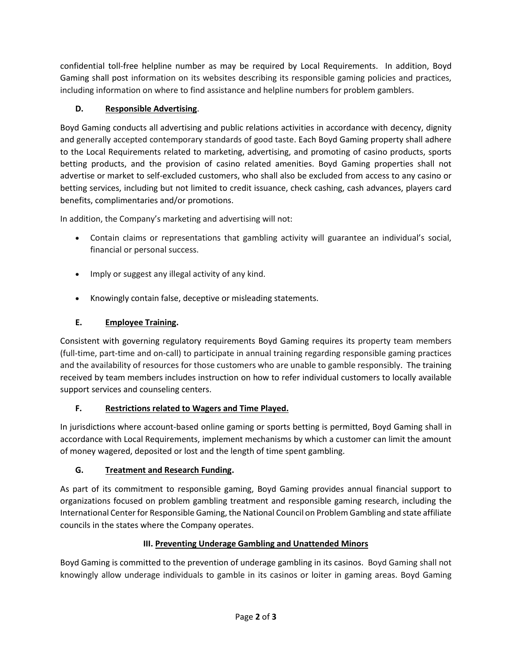confidential toll-free helpline number as may be required by Local Requirements. In addition, Boyd Gaming shall post information on its websites describing its responsible gaming policies and practices, including information on where to find assistance and helpline numbers for problem gamblers.

### **D. Responsible Advertising**.

Boyd Gaming conducts all advertising and public relations activities in accordance with decency, dignity and generally accepted contemporary standards of good taste. Each Boyd Gaming property shall adhere to the Local Requirements related to marketing, advertising, and promoting of casino products, sports betting products, and the provision of casino related amenities. Boyd Gaming properties shall not advertise or market to self-excluded customers, who shall also be excluded from access to any casino or betting services, including but not limited to credit issuance, check cashing, cash advances, players card benefits, complimentaries and/or promotions.

In addition, the Company's marketing and advertising will not:

- Contain claims or representations that gambling activity will guarantee an individual's social, financial or personal success.
- Imply or suggest any illegal activity of any kind.
- Knowingly contain false, deceptive or misleading statements.

# **E. Employee Training.**

Consistent with governing regulatory requirements Boyd Gaming requires its property team members (full-time, part-time and on-call) to participate in annual training regarding responsible gaming practices and the availability of resources for those customers who are unable to gamble responsibly. The training received by team members includes instruction on how to refer individual customers to locally available support services and counseling centers.

# **F. Restrictions related to Wagers and Time Played.**

In jurisdictions where account-based online gaming or sports betting is permitted, Boyd Gaming shall in accordance with Local Requirements, implement mechanisms by which a customer can limit the amount of money wagered, deposited or lost and the length of time spent gambling.

# **G. Treatment and Research Funding.**

As part of its commitment to responsible gaming, Boyd Gaming provides annual financial support to organizations focused on problem gambling treatment and responsible gaming research, including the International Center for Responsible Gaming, the National Council on Problem Gambling and state affiliate councils in the states where the Company operates.

# **III. Preventing Underage Gambling and Unattended Minors**

Boyd Gaming is committed to the prevention of underage gambling in its casinos. Boyd Gaming shall not knowingly allow underage individuals to gamble in its casinos or loiter in gaming areas. Boyd Gaming